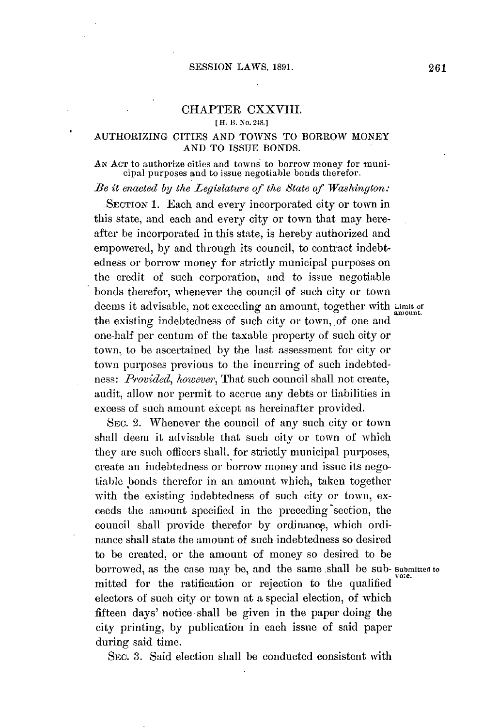## CHAPTER CXXVIII.

**[ H. B.** No. **248.]**

## **AUTHORIZING CITIES AND TOWNS** TO BORROW MONEY **AND** TO ISSUE **BONDS.**

AN ACT to authorize cities and towns to borrow money for municipal purposes and to issue negotiable bonds therefor.

*Be it enacted by the Legislature of the State of Washington:*

**.SECTION 1.** Each and every incorporated city or town in this state, and each and every city or town that may hereafter be incorporated in this state, is hereby authorized and empowered, **by** and through its council, to contract indebtedness or borrow money for strictly municipal purposes on the credit of such corporation, and to issue negotiable bonds therefor, whenever the council of such city or town deems it advisable, not exceeding an amount, together with Limit of the existing indebtedness of such city or town, of one and one-half per centum of the taxable property of such city or town., to be ascertained **by** the last assessment for city or town purposes previous to the incurring of such indebtedness: *Provided, however,* That such council shall not create, audit, allow nor permit to accrue any debts or liabilities in excess of such amount except as hereinafter provided.

**SEC. 2.** Whenever the council of any such city or town shall deem it advisable that such city or town of which they are such officers shall, for strictly municipal purposes, create an indebtedness or borrow money and issue its negotiable bonds therefor in an amount which, taken together with the existing indebtedness of such city or town, exceeds the amount specified in the preceding section, the council shall provide therefor **by** ordinance, which ordinance shall state the amount of such indebtedness so desired to be created, or the amount of money so desired to be borrowed, as the case may be, and the same .shall be sub- **Submitted to** mitted for the ratification or rejection to the qualified electors of such city or town at **a** special election, of which fifteen days' notice-shall be given in the paper doing the city printing, **by** publication in each issue of said paper during said time.

SEc. **3.** Said election shall be conducted consistent with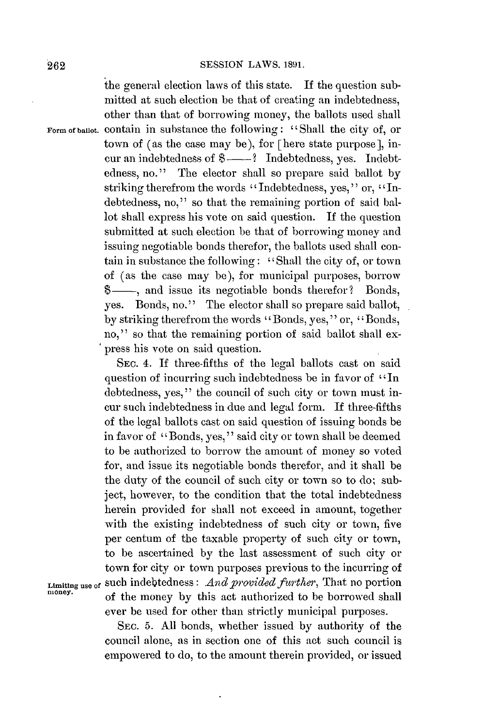the general election laws of this state. **If** the question submitted at such election be that of creating an indebtedness, other than that of borrowing money, the ballots used shall **Form of banot.** contain in substance the following: ''Shall the city of, or town of (as the case may be), for [here state purpose], incur an indebtedness of  $\$  — ? Indebtedness, yes. Indebtedness, no." The elector shall so prepare said ballot **by** striking therefrom the words "Indebtedness, yes," or, "Indebtedness, no," so that the remaining portion of said ballot shall express his vote on said question. **If** the question submitted at such election be that of borrowing money and issuing negotiable bonds therefor, the ballots used shall contain in substance the following: 'Shall the city of, or town of (as the case may **be),** for municipal purposes, borrow \$—, and issue its negotiable bonds therefor? Bonds, yes. Bonds, no." The elector shall so prepare said ballot, **by** striking therefrom the words "Bonds, yes," or, "Bonds, no," so that the remaining portion of said ballot shall express his vote on said question.

SEC. 4. **If** three-fifths of the legal ballots cast on said question of incurring such indebtedness be in favor of "In debtedness, yes," the council of such city or town must incur such indebtedness in due and legal form. **If** three-fifths of the legal ballots cast on said question of issuing bonds be in favor of "Bonds, yes," said city or town shall be deemed to be authorized to borrow the amount of money so voted for, and issue its negotiable bonds therefor, and it shall be the duty of the council of such city or town so to do; subject, however, to the condition that the total indebtedness herein provided for shall not exceed in amount, together with the existing indebtedness of such city or town, five per centum of the taxable property of such city or town, to be ascertained **by** the last assessment of such city or town for city or town purposes previous to the incurring of **Limiting use of Such indebtedness:** *And provided further*, That no portion money. of the money by this act authorized to be borrowed shall ever be used for other than strictly municipal purposes.

> **SEC. 5. All** bonds, whether issued **by** authority of the council alone, as in section one of this act such council is empowered to do, to the amount therein provided, or issued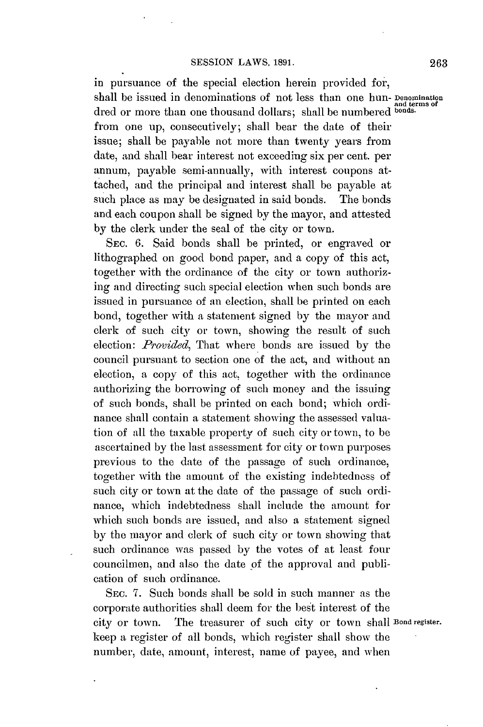in pursuance of the special election herein provided for, shall be issued in denominations of not less than one hun- **Denomination and terms of** dred or more than one thousand dollars; shall be numbered **bonds.** from one up, consecutively; shall bear the date of their issue; shall be payable not more than twenty years from date, and shall bear interest not exceeding six per cent. per annum, payable semi-annually, with interest coupons attached, and the principal and interest shall be payable at such place as may **be** designated in said bonds. The bonds and each coupon shall be signed **by** the mayor, and attested **by** the clerk under the seal of the city or town.

SEc. **6.** Said bonds shall be printed, or engraved or lithographed on good bond paper, and a copy of this act, together with the ordinance of the city or town authorizing and directing such special election when such bonds are issued in pursuance of an election, shall be printed on each bond, together with a statement signed **by** the mayor and clerk of such city or town, showing the result of such election: *Provided,* That where bonds are issued **by** the council pursuant to section one of the act, and without an election, a copy of this act, together with the ordinance authorizing the borrowing of such money and the issuing of such bonds, shall be printed on each bond; which ordinance shall contain a statement showing the assessed valuation of all the taxable property of such city or town, to be ascertained **by** the last assessment for city or town purposes previous to the date of the passage of such ordinance, together with the amount of the existing indebtedness of such city or town at the date of the passage of such ordinance, which indebtedness shall include the amount for which such bonds are issued, and also **a** statement signed **by** the mayor and clerk of such city or town showing that such ordinance was passed **by** the votes of at least four councilmen, and also the date of the approval and publication of such ordinance.

SEc. **7.** Such bonds shall be sold in such manner as the corporate authorities shall deem for the best interest of the city or town. The treasurer of such city or town **shall Bond register.** keep a register of **all** bonds, which register shall show the number, date, amount, interest, name of payee, and when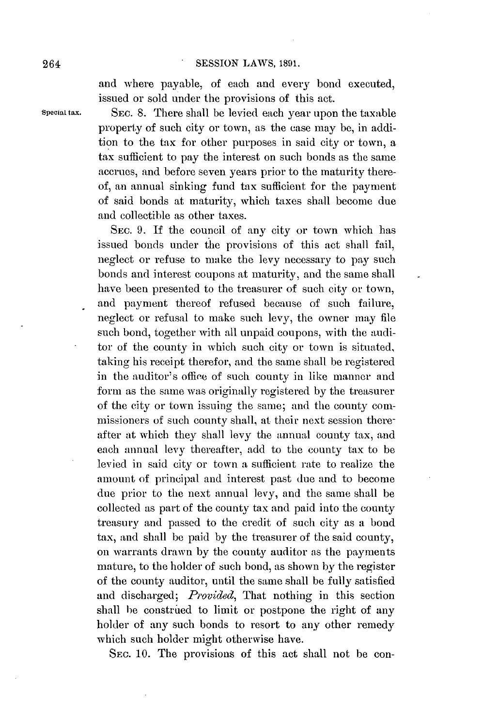and where payable, of each and every bond executed, issued or sold under the provisions of this act.

**Special tax. SEC. 8.** There shall **be** levied each year upon the taxable property of such city or town, as the case may **be,** in addition to the tax for other purposes in said city or town, a tax sufficient to pay the interest on such bonds as the same accrues, and before seven years prior to the maturity thereof, an annual sinking fund tax sufficient for the payment of said bonds at maturity, which taxes shall become due and collectible as other taxes.

> SEC. 9. If the council of any city or town which has issued bonds under the provisions of this act shall fail, neglect or refuse to make the levy necessary to **pay** such bonds and interest coupons at maturity, and the same shall have been presented to the treasurer of such city or town, and payment thereof refused because of such failure, neglect or refusal to make such levy, the owner may file such bond, together with all unpaid coupons, with the auditor of the county in which such city or town is situated, taking his receipt therefor, and the same shall be registered in the auditor's office of such county in like manner and form as the same was originally registered **by** the treasurer of the city or town issuing the same; and the county commissioners of such county shall, at their next session thereafter at which they shall levy the annual county tax, and each annual levy thereafter, add to the county tax to be levied in said city or town a sufficient rate to realize the amount of principal and interest past due and to become due prior to the next annual levy, and the same shall be collected as part of the county tax and paid into the county treasury and passed to the credit of such city as a bond tax, and shall **be** paid **by** the treasurer of the said county, on warrants drawn **by** the county auditor as the payments mature, to the holder of such bond, as shown **by** the register of the county auditor, until the same shall be fully satisfied and discharged; *Povided,* That nothing in this section shall be construed to limit or postpone the right of any holder of any such bonds to resort to any other remedy which such holder might otherwise have.

**SEC. 10.** The provisions of this act shall not be con-